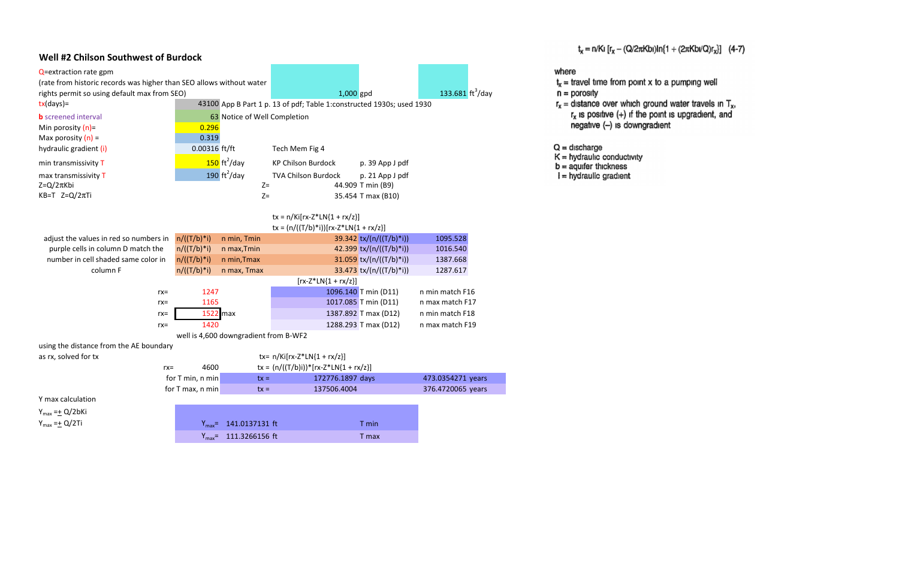## Well #2 Chilson Southwest of Burdock

| Q=extraction rate gpm                                                |                  |                                       |                                                                       |                           |                                          |
|----------------------------------------------------------------------|------------------|---------------------------------------|-----------------------------------------------------------------------|---------------------------|------------------------------------------|
| (rate from historic records was higher than SEO allows without water |                  |                                       |                                                                       |                           |                                          |
| rights permit so using default max from SEO)                         |                  |                                       | 1,000 gpd                                                             |                           | 133.681 $\frac{\text{ft}^3}{\text{day}}$ |
| $tx/day$ )=                                                          |                  |                                       | 43100 App B Part 1 p. 13 of pdf; Table 1:constructed 1930s; used 1930 |                           |                                          |
| <b>b</b> screened interval                                           |                  | 63 Notice of Well Completion          |                                                                       |                           |                                          |
| Min porosity $(n)$ =                                                 | 0.296            |                                       |                                                                       |                           |                                          |
| Max porosity $(n)$ =                                                 | 0.319            |                                       |                                                                       |                           |                                          |
| hydraulic gradient (i)                                               | $0.00316$ ft/ft  |                                       | Tech Mem Fig 4                                                        |                           |                                          |
| min transmissivity T                                                 |                  | $150 \text{ ft}^2/\text{day}$         | <b>KP Chilson Burdock</b>                                             | p. 39 App J pdf           |                                          |
| max transmissivity T                                                 |                  | 190 $ft^2$ /day                       | TVA Chilson Burdock                                                   | p. 21 App J pdf           |                                          |
| $Z = Q/2\pi Kbi$                                                     |                  | $Z=$                                  |                                                                       | 44.909 T min (B9)         |                                          |
| KB=T $Z=Q/2\pi T i$                                                  |                  | $Z=$                                  |                                                                       | 35.454 T max (B10)        |                                          |
|                                                                      |                  |                                       |                                                                       |                           |                                          |
|                                                                      |                  |                                       | $tx = n/Ki[rx-Z*LN{1 + rx/z}]$                                        |                           |                                          |
|                                                                      |                  |                                       | $tx = (n/((T/b)*i))[rx-Z*LN{1 + rx/z}]$                               |                           |                                          |
| adjust the values in red so numbers in                               | $n/((T/b)*i)$    | n min, Tmin                           |                                                                       | 39.342 tx/(n/((T/b)*i))   | 1095.528                                 |
| purple cells in column D match the                                   | $n/((T/b)*i)$    | n max, Tmin                           |                                                                       | 42.399 tx/(n/((T/b)*i))   | 1016.540                                 |
| number in cell shaded same color in                                  | $n/((T/b)*i)$    | n min, Tmax                           |                                                                       | 31.059 $tx/(n/((T/b)*i))$ | 1387.668                                 |
| column F                                                             | $n/((T/b)*i)$    | n max, Tmax                           |                                                                       | 33.473 tx/(n/((T/b)*i))   | 1287.617                                 |
|                                                                      |                  |                                       | $[rx-Z*LN{1 + rx/z}]$                                                 |                           |                                          |
| $rx =$                                                               | 1247             |                                       |                                                                       | 1096.140 T min (D11)      | n min match F16                          |
| $rx =$                                                               | 1165             |                                       |                                                                       | 1017.085 T min (D11)      | n max match F17                          |
| $rx =$                                                               | 1522 max         |                                       |                                                                       | 1387.892 T max (D12)      | n min match F18                          |
| $rx =$                                                               | 1420             |                                       |                                                                       | 1288.293 T max (D12)      | n max match F19                          |
|                                                                      |                  | well is 4,600 downgradient from B-WF2 |                                                                       |                           |                                          |
| using the distance from the AE boundary                              |                  |                                       |                                                                       |                           |                                          |
| as rx, solved for tx                                                 |                  |                                       | tx= $n/Ki[rx-Z*LN{1 + rx/z}]$                                         |                           |                                          |
| $rx =$                                                               | 4600             |                                       | $tx = (n/((T/b)i))^*[rx-Z^*LN{1 + rx/z}]$                             |                           |                                          |
|                                                                      | for T min, n min | $tx =$                                | 172776.1897 days                                                      |                           | 473.0354271 years                        |
|                                                                      | for T max, n min | $tx =$                                | 137506.4004                                                           |                           | 376.4720065 years                        |
| Y max calculation                                                    |                  |                                       |                                                                       |                           |                                          |
| $Y_{max} = \pm Q/2bKi$                                               |                  |                                       |                                                                       |                           |                                          |
| $Y_{max} = \pm Q/2$ Ti                                               |                  | $Y_{max}$ = 141.0137131 ft            |                                                                       | T min                     |                                          |
|                                                                      |                  | $Y_{max}$ = 111.3266156 ft            |                                                                       | T max                     |                                          |

- where  $t_x$  = travel time from point x to a pumping well  $n =$  porosity
- $r_x$  = distance over which ground water travels in  $T_x$ ,
	-
	- negative (-) is downgradient
- $Q =$  discharge
- 
- $K =$  hydraulic conductivity<br>  $b =$  aquifer thickness<br>  $i =$  hydraulic gradient
	-

 $t_x = n/Ki [r_x - (Q/2\pi Kbi)ln{1 + (2\pi Kbi/Q)r_x}]$  (4-7)

 $r_x$  is positive  $(+)$  if the point is upgradient, and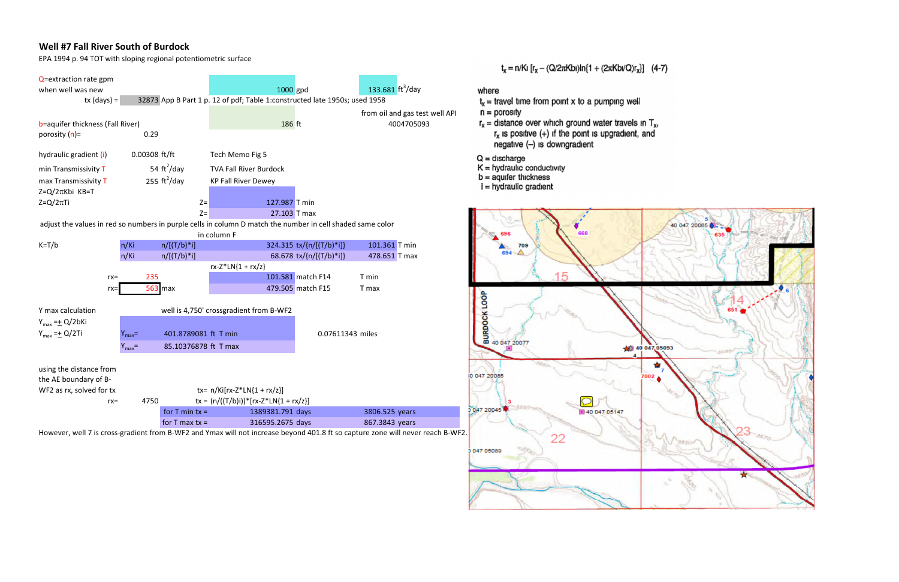# Well #7 Fall River South of Burdock

EPA 1994 p. 94 TOT with sloping regional potentiometric surface



However, well 7 is cross-gradient from B-WF2 and Ymax will not increase beyond 401.8 ft so capture zone will never reach B-WF2.

# $t_x = n/Ki [r_x - (Q/2\pi Kbi)ln(1 + (2\pi Kbi/Q)r_x)]$  (4-7)

- $t_x$  = travel time from point x to a pumping well
- $n =$  porosity
- $r_x$  = distance over which ground water travels in  $T_x$ .  $r_x$  is positive  $(+)$  if the point is upgradient, and negative (-) is downgradient
- $Q =$  discharge
- $K =$  hydraulic conductivity
- $b =$  aguifer thickness
- $i =$  hydraulic gradient

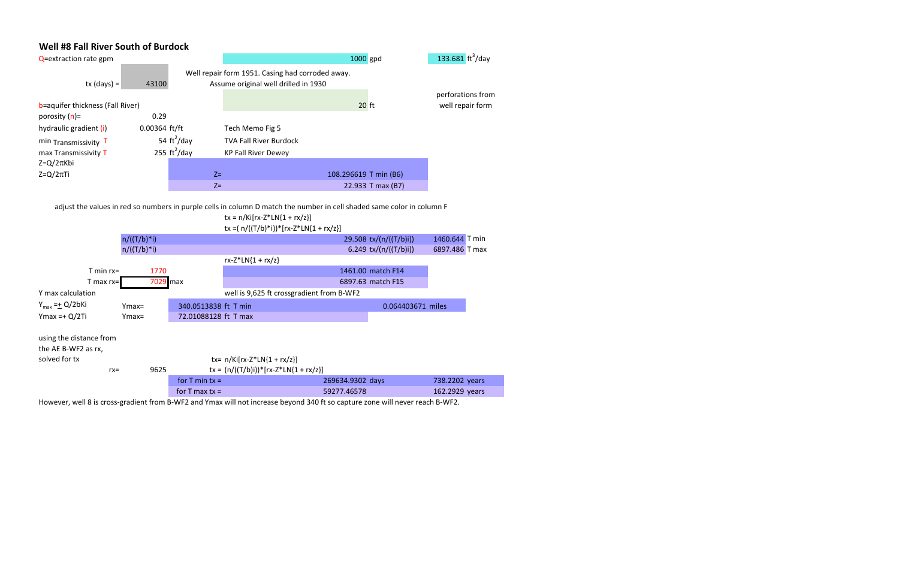# Well #8 Fall River South of Burdock

| Q=extraction rate gpm                          |                 |                              |                                                                            | 1000 gpd              |                        | 133.681 $\frac{\text{ft}^3}{\text{day}}$ |  |
|------------------------------------------------|-----------------|------------------------------|----------------------------------------------------------------------------|-----------------------|------------------------|------------------------------------------|--|
|                                                |                 |                              | Well repair form 1951. Casing had corroded away.                           |                       |                        |                                          |  |
| $tx$ (days) =                                  | 43100           |                              | Assume original well drilled in 1930                                       |                       |                        |                                          |  |
|                                                |                 |                              |                                                                            |                       |                        | perforations from                        |  |
| b=aquifer thickness (Fall River)               |                 |                              |                                                                            | $20$ ft               |                        | well repair form                         |  |
| porosity $(n)$ =                               | 0.29            |                              |                                                                            |                       |                        |                                          |  |
| hydraulic gradient (i)                         | $0.00364$ ft/ft |                              | Tech Memo Fig 5                                                            |                       |                        |                                          |  |
| min Transmissivity T                           |                 | 54 $\text{ft}^2/\text{day}$  | <b>TVA Fall River Burdock</b>                                              |                       |                        |                                          |  |
| max Transmissivity T                           |                 | 255 $\text{ft}^2/\text{day}$ | <b>KP Fall River Dewey</b>                                                 |                       |                        |                                          |  |
| $Z = Q/2\pi Kbi$                               |                 |                              |                                                                            |                       |                        |                                          |  |
| $Z = Q/2\pi T i$                               |                 | $Z=$                         |                                                                            | 108.296619 T min (B6) |                        |                                          |  |
|                                                |                 | $Z=$                         |                                                                            |                       | 22.933 T max (B7)      |                                          |  |
|                                                |                 |                              | $tx = n/Ki[rx-Z*LN{1 + rx/z}]$<br>tx = $(n/((T/b)*i))*[rx-Z*LN{1 + rx/z}]$ |                       |                        |                                          |  |
|                                                | $n/((T/b)*i)$   |                              |                                                                            |                       | 29.508 tx/(n/((T/b)i)) | 1460.644 T min                           |  |
|                                                | $n/((T/b)*i)$   |                              |                                                                            |                       | 6.249 tx/(n/((T/b)i))  | 6897.486 T max                           |  |
|                                                |                 |                              | $rx-Z*LN{1 + rx/z}$                                                        |                       |                        |                                          |  |
| $T$ min $rx =$                                 | 1770            |                              |                                                                            |                       | 1461.00 match F14      |                                          |  |
| $T$ max rx=                                    | 7029 max        |                              |                                                                            |                       | 6897.63 match F15      |                                          |  |
| Y max calculation                              |                 |                              | well is 9,625 ft crossgradient from B-WF2                                  |                       |                        |                                          |  |
| $Y_{\text{max}} = \pm Q/2b$ Ki                 | $Ymax=$         | 340.0513838 ft T min         |                                                                            |                       | 0.064403671 miles      |                                          |  |
| $Y$ max =+ $Q/2$ Ti                            | $Ymax =$        | 72.01088128 ft T max         |                                                                            |                       |                        |                                          |  |
| using the distance from<br>the AE B-WF2 as rx, |                 |                              |                                                                            |                       |                        |                                          |  |
| solved for tx                                  |                 |                              | tx= $n/Ki[rx-Z*LN{1 + rx/z}]$                                              |                       |                        |                                          |  |
| $rx =$                                         | 9625            |                              | $tx = (n/((T/b)i))^*[rx-Z^*LN{1 + rx/z}]$                                  |                       |                        |                                          |  |
|                                                |                 | for $T$ min $tx =$           |                                                                            | 269634.9302 days      |                        | 738.2202 years                           |  |

However, well 8 is cross-gradient from B-WF2 and Ymax will not increase beyond 340 ft so capture zone will never reach B-WF2.

for T max tx = 59277.46578 162.2929 years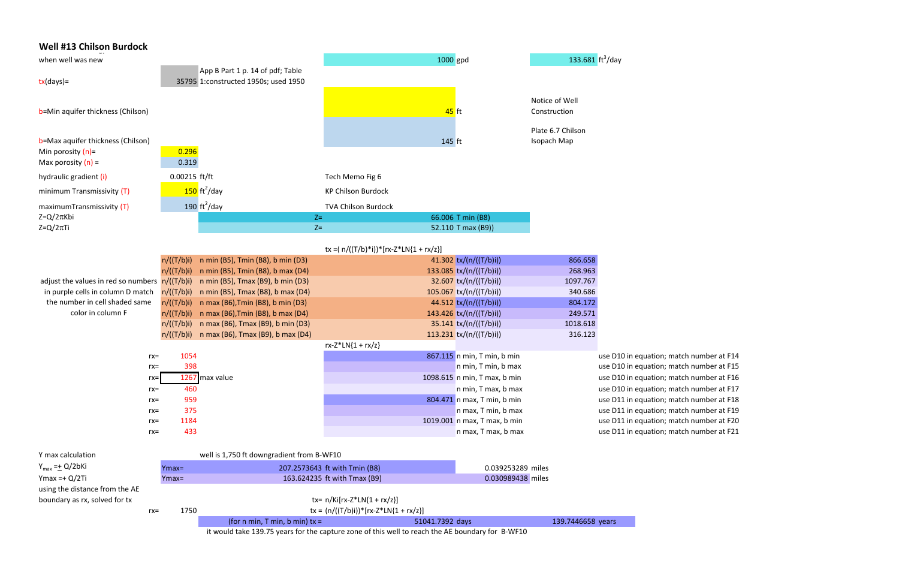| <b>Well #13 Chilson Burdock</b>                  |                          |                                                                        |                                              |                                                       |                                          |                                    |
|--------------------------------------------------|--------------------------|------------------------------------------------------------------------|----------------------------------------------|-------------------------------------------------------|------------------------------------------|------------------------------------|
| when well was new                                |                          |                                                                        |                                              |                                                       | 133.681 $\frac{\text{ft}^3}{\text{day}}$ |                                    |
|                                                  |                          | App B Part 1 p. 14 of pdf; Table                                       |                                              | 1000 gpd                                              |                                          |                                    |
| $tx/day$ )=                                      |                          | 35795 1:constructed 1950s; used 1950                                   |                                              |                                                       |                                          |                                    |
|                                                  |                          |                                                                        |                                              |                                                       |                                          |                                    |
|                                                  |                          |                                                                        |                                              |                                                       | Notice of Well                           |                                    |
| b=Min aquifer thickness (Chilson)                |                          |                                                                        |                                              | $45$ ft                                               | Construction                             |                                    |
|                                                  |                          |                                                                        |                                              |                                                       | Plate 6.7 Chilson                        |                                    |
| b=Max aquifer thickness (Chilson)                |                          |                                                                        |                                              | 145 ft                                                | Isopach Map                              |                                    |
| Min porosity $(n)$ =                             | 0.296                    |                                                                        |                                              |                                                       |                                          |                                    |
| Max porosity $(n)$ =                             | 0.319                    |                                                                        |                                              |                                                       |                                          |                                    |
| hydraulic gradient (i)                           | 0.00215 ft/ft            |                                                                        | Tech Memo Fig 6                              |                                                       |                                          |                                    |
| minimum Transmissivity (T)                       |                          | $150 \text{ ft}^2/\text{day}$                                          | <b>KP Chilson Burdock</b>                    |                                                       |                                          |                                    |
| maximumTransmissivity (T)                        |                          | 190 $\text{ft}^2/\text{day}$                                           | <b>TVA Chilson Burdock</b>                   |                                                       |                                          |                                    |
| $Z = Q/2\pi Kbi$                                 |                          |                                                                        | $Z=$                                         | 66.006 T min (B8)                                     |                                          |                                    |
| $Z = Q/2\pi T i$                                 |                          |                                                                        | $Z =$                                        | 52.110 T max (B9))                                    |                                          |                                    |
|                                                  |                          |                                                                        |                                              |                                                       |                                          |                                    |
|                                                  |                          |                                                                        | tx =( $n/((T/b)*i))$ * $[rx-Z*LN{1 + rx/z}]$ |                                                       |                                          |                                    |
|                                                  | n/((T/b)i)<br>n/((T/b)i) | n min (B5), Tmin (B8), b min (D3)<br>n min (B5), Tmin (B8), b max (D4) |                                              | 41.302 $tx/(n/((T/b)i))$<br>133.085 $tx/(n/((T/b)i))$ | 866.658<br>268.963                       |                                    |
| adjust the values in red so numbers $n/((T/b)i)$ |                          | n min (B5), Tmax (B9), b min (D3)                                      |                                              | 32.607 tx/(n/((T/b)i))                                | 1097.767                                 |                                    |
| in purple cells in column D match                | n/((T/b)i)               | n min (B5), Tmax (B8), b max (D4)                                      |                                              | $105.067$ tx/(n/((T/b)i))                             | 340.686                                  |                                    |
| the number in cell shaded same                   | n/((T/b)i)               | n max (B6), Tmin (B8), b min (D3)                                      |                                              | 44.512 tx/(n/((T/b)i))                                | 804.172                                  |                                    |
| color in column F                                | n/((T/b)i)               | n max (B6), Tmin (B8), b max (D4)                                      |                                              | 143.426 $tx/(n/((T/b)i))$                             | 249.571                                  |                                    |
|                                                  | n/((T/b)i)               | n max (B6), Tmax (B9), b min (D3)                                      |                                              | $35.141$ tx/(n/((T/b)i))                              | 1018.618                                 |                                    |
|                                                  |                          | $n/((T/b)i)$ n max (B6), Tmax (B9), b max (D4)                         |                                              | 113.231 $tx/(n/((T/b)i))$                             | 316.123                                  |                                    |
|                                                  |                          |                                                                        | $rx-Z*LN{1 + rx/z}$                          |                                                       |                                          |                                    |
| $rx =$                                           | 1054                     |                                                                        |                                              | 867.115 n min, T min, b min                           |                                          | use D10 in equa                    |
| $rx =$                                           | 398                      |                                                                        |                                              | n min, T min, b max                                   |                                          | use D10 in equa                    |
| $rx =$                                           |                          | 1267 max value                                                         |                                              | 1098.615 n min, T max, b min                          |                                          | use D10 in equa                    |
| $rx =$                                           | 460                      |                                                                        |                                              | n min, T max, b max                                   |                                          | use D10 in equa                    |
| $rx =$                                           | 959                      |                                                                        |                                              | 804.471 n max, T min, b min                           |                                          | use D11 in equa                    |
| $rx =$                                           | 375<br>1184              |                                                                        |                                              | n max, T min, b max<br>1019.001 n max, T max, b min   |                                          | use D11 in equa<br>use D11 in equa |
| $rx =$<br>$rx =$                                 | 433                      |                                                                        |                                              | n max, T max, b max                                   |                                          | use D11 in equa                    |
|                                                  |                          |                                                                        |                                              |                                                       |                                          |                                    |
| Y max calculation                                |                          | well is 1,750 ft downgradient from B-WF10                              |                                              |                                                       |                                          |                                    |
| $Y_{max} = \pm Q/2bKi$                           | $Ymax=$                  |                                                                        | 207.2573643 ft with Tmin (B8)                | 0.039253289 miles                                     |                                          |                                    |
| $Y$ max = + Q/2Ti                                | Ymax=                    |                                                                        | 163.624235 ft with Tmax (B9)                 | 0.030989438 miles                                     |                                          |                                    |
| using the distance from the AE                   |                          |                                                                        |                                              |                                                       |                                          |                                    |
| boundary as rx, solved for tx                    |                          |                                                                        | $tx = n/Ki[rx-Z*LN{1 + rx/z}]$               |                                                       |                                          |                                    |

rx= 1750 tx =  $(n/((T/b)i))^*[rx-Z^*LN{1 + rx/z}]$ 

(for n min, T min, b min)  $tx = 51041.7392$  days 139.7446658 years it would take 139.75 years for the capture zone of this well to reach the AE boundary for B-WF10

ation; match number at F14 ation; match number at F15 ation; match number at F16 ation; match number at F17 ation; match number at F18 ation; match number at F19 ation; match number at F20 ation; match number at F21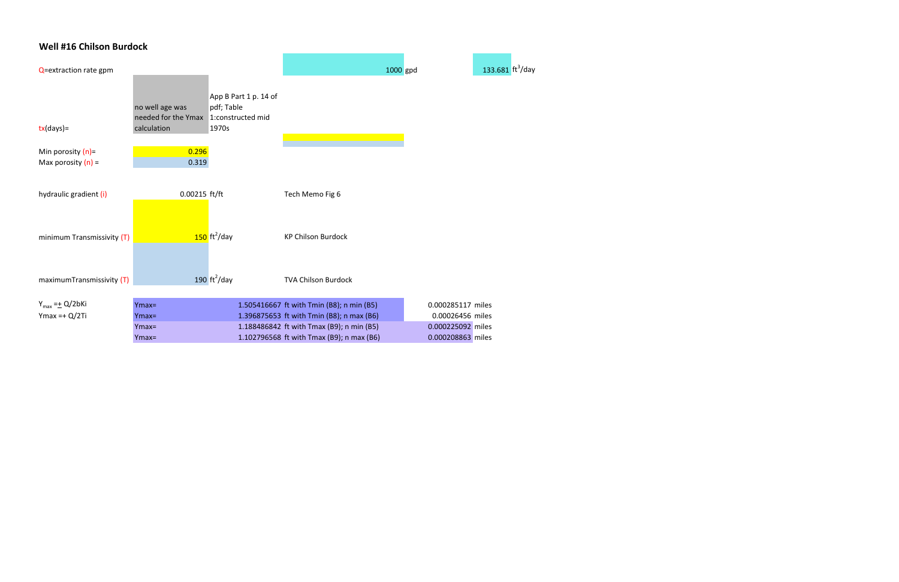# Well #16 Chilson Burdock

| Q=extraction rate gpm      |                                                                          |                                              | 1000 gpd                                                                               |                                       | 133.681 $\frac{\text{ft}^3}{\text{day}}$ |
|----------------------------|--------------------------------------------------------------------------|----------------------------------------------|----------------------------------------------------------------------------------------|---------------------------------------|------------------------------------------|
| $tx/day$ )=                | no well age was<br>needed for the Ymax 1: constructed mid<br>calculation | App B Part 1 p. 14 of<br>pdf; Table<br>1970s |                                                                                        |                                       |                                          |
| Min porosity $(n)$ =       | 0.296                                                                    |                                              |                                                                                        |                                       |                                          |
| Max porosity $(n)$ =       | 0.319                                                                    |                                              |                                                                                        |                                       |                                          |
| hydraulic gradient (i)     | 0.00215 ft/ft                                                            |                                              | Tech Memo Fig 6                                                                        |                                       |                                          |
| minimum Transmissivity (T) |                                                                          | $150$ ft <sup>2</sup> /day                   | <b>KP Chilson Burdock</b>                                                              |                                       |                                          |
| maximumTransmissivity (T)  |                                                                          | 190 $\text{ft}^2/\text{day}$                 | <b>TVA Chilson Burdock</b>                                                             |                                       |                                          |
| $Y_{max} = \pm Q/2bKi$     | Ymax=                                                                    |                                              | 1.505416667 ft with Tmin (B8); n min (B5)                                              | 0.000285117 miles                     |                                          |
| Ymax = $+ Q/2Ti$           | $Ymax=$<br>$Ymax=$                                                       |                                              | 1.396875653 ft with Tmin (B8); n max (B6)<br>1.188486842 ft with Tmax (B9); n min (B5) | 0.00026456 miles<br>0.000225092 miles |                                          |
|                            | $Ymax=$                                                                  |                                              | 1.102796568 ft with Tmax (B9); n max (B6)                                              | 0.000208863 miles                     |                                          |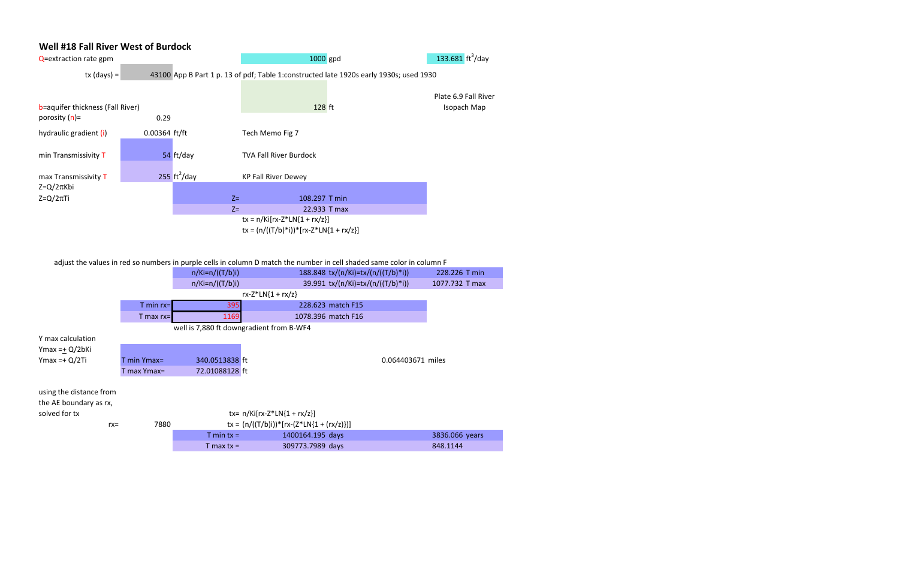#### Well #18 Fall River West of Burdock

| Q=extraction rate gpm                                |                 |                              |                                                                              | 1000 gpd                                                                               | 133.681 $\text{ft}^3/\text{day}$    |  |  |
|------------------------------------------------------|-----------------|------------------------------|------------------------------------------------------------------------------|----------------------------------------------------------------------------------------|-------------------------------------|--|--|
| $tx$ (days) =                                        |                 |                              |                                                                              | 43100 App B Part 1 p. 13 of pdf; Table 1:constructed late 1920s early 1930s; used 1930 |                                     |  |  |
| b=aquifer thickness (Fall River)<br>porosity $(n)$ = | 0.29            |                              |                                                                              | 128 ft                                                                                 | Plate 6.9 Fall River<br>Isopach Map |  |  |
| hydraulic gradient (i)                               | $0.00364$ ft/ft |                              | Tech Memo Fig 7                                                              |                                                                                        |                                     |  |  |
|                                                      |                 |                              |                                                                              |                                                                                        |                                     |  |  |
| min Transmissivity T                                 |                 | 54 ft/day                    | <b>TVA Fall River Burdock</b>                                                |                                                                                        |                                     |  |  |
| max Transmissivity T                                 |                 | 255 $\text{ft}^2/\text{day}$ | <b>KP Fall River Dewey</b>                                                   |                                                                                        |                                     |  |  |
| $Z = Q/2\pi Kbi$                                     |                 |                              |                                                                              |                                                                                        |                                     |  |  |
| $Z = Q/2\pi T i$                                     |                 | $Z =$                        |                                                                              | 108.297 T min                                                                          |                                     |  |  |
|                                                      |                 | $Z=$                         |                                                                              | 22.933 T max                                                                           |                                     |  |  |
|                                                      |                 |                              | $tx = n/Ki[rx-Z*LN{1 + rx/z}]$<br>$tx = (n/((T/b)*i)) * [rx-Z*LN{1 + rx/z}]$ |                                                                                        |                                     |  |  |

adjust the values in red so numbers in purple cells in column D match the number in cell shaded same color in column F

|                                          |              | $n/Ki=n/((T/b)i)$ | 188.848 tx/(n/Ki)=tx/(n/((T/b)*i))           | 228.226 T min     |  |  |  |  |  |  |
|------------------------------------------|--------------|-------------------|----------------------------------------------|-------------------|--|--|--|--|--|--|
|                                          |              | $n/Ki=n/((T/b)i)$ | 39.991 tx/(n/Ki)=tx/(n/((T/b)*i))            | 1077.732 T max    |  |  |  |  |  |  |
|                                          |              |                   | $rx-Z^*LN{1 + rx/z}$                         |                   |  |  |  |  |  |  |
|                                          | $T$ min rx=  | 395               | 228.623 match F15                            |                   |  |  |  |  |  |  |
|                                          | $T$ max rx=  | 1169              | 1078.396 match F16                           |                   |  |  |  |  |  |  |
| well is 7,880 ft downgradient from B-WF4 |              |                   |                                              |                   |  |  |  |  |  |  |
| Y max calculation                        |              |                   |                                              |                   |  |  |  |  |  |  |
| Ymax = $\pm$ Q/2bKi                      |              |                   |                                              |                   |  |  |  |  |  |  |
| $Ymax = + Q/2Ti$                         | $min Ymax =$ | 340.0513838 ft    |                                              | 0.064403671 miles |  |  |  |  |  |  |
|                                          | T max Ymax=  | 72.01088128 ft    |                                              |                   |  |  |  |  |  |  |
|                                          |              |                   |                                              |                   |  |  |  |  |  |  |
| using the distance from                  |              |                   |                                              |                   |  |  |  |  |  |  |
| the AE boundary as rx,                   |              |                   |                                              |                   |  |  |  |  |  |  |
| solved for tx                            |              |                   | tx= $n/Ki[rx-Z*LN{1 + rx/z}]$                |                   |  |  |  |  |  |  |
| $rx =$                                   | 7880         |                   | $tx = (n/((T/b)i))^*[rx-(Z*LN{1 + (rx/z)})]$ |                   |  |  |  |  |  |  |
|                                          |              | T min $tx =$      | 1400164.195 days                             | 3836.066 years    |  |  |  |  |  |  |
|                                          |              | $T$ max tx =      | 309773.7989 days                             | 848.1144          |  |  |  |  |  |  |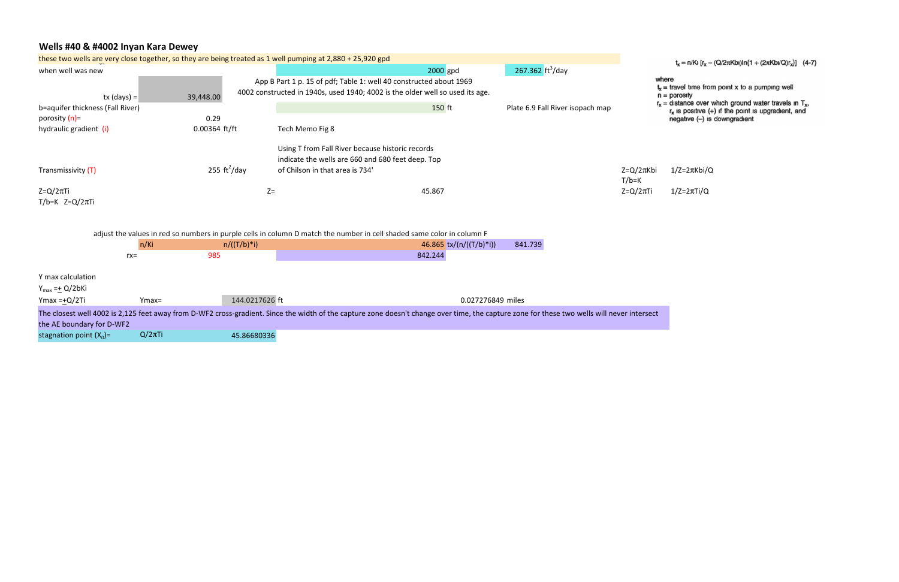# Wells #40 & #4002 Inyan Kara Dewey

|                                  |               |                 |                              | these two wells are very close together, so they are being treated as 1 well pumping at 2,880 + 25,920 gpd             |          |                           |                                                                                                                                                                                             |                                | $t_x = n/Ki$ [ $r_x - i$                             |
|----------------------------------|---------------|-----------------|------------------------------|------------------------------------------------------------------------------------------------------------------------|----------|---------------------------|---------------------------------------------------------------------------------------------------------------------------------------------------------------------------------------------|--------------------------------|------------------------------------------------------|
| when well was new                |               |                 |                              |                                                                                                                        | 2000 gpd |                           | 267.362 $\frac{\text{ft}^3}{\text{day}}$                                                                                                                                                    |                                |                                                      |
|                                  |               |                 |                              | App B Part 1 p. 15 of pdf; Table 1: well 40 constructed about 1969                                                     |          |                           |                                                                                                                                                                                             |                                | where<br>$t_x$ = travel time from                    |
|                                  | $tx (days) =$ | 39,448.00       |                              | 4002 constructed in 1940s, used 1940; 4002 is the older well so used its age.                                          |          |                           |                                                                                                                                                                                             |                                | $n =$ porosity                                       |
| b=aquifer thickness (Fall River) |               |                 |                              |                                                                                                                        | 150 ft   |                           | Plate 6.9 Fall River isopach map                                                                                                                                                            |                                | $r_x$ = distance over $w$<br>$r_x$ is positive $(+)$ |
| porosity (n)=                    |               | 0.29            |                              |                                                                                                                        |          |                           |                                                                                                                                                                                             |                                | $negative (-)$ is                                    |
| hydraulic gradient (i)           |               | $0.00364$ ft/ft |                              | Tech Memo Fig 8                                                                                                        |          |                           |                                                                                                                                                                                             |                                |                                                      |
|                                  |               |                 |                              | Using T from Fall River because historic records                                                                       |          |                           |                                                                                                                                                                                             |                                |                                                      |
|                                  |               |                 |                              | indicate the wells are 660 and 680 feet deep. Top                                                                      |          |                           |                                                                                                                                                                                             |                                |                                                      |
| Transmissivity (T)               |               |                 | 255 $\text{ft}^2/\text{day}$ | of Chilson in that area is 734'                                                                                        |          |                           |                                                                                                                                                                                             | $Z = Q/2\pi K$ bi<br>$T/b = K$ | $1/Z = 2\pi Kbi/Q$                                   |
| $Z = Q/2\pi T i$                 |               |                 | $Z=$                         |                                                                                                                        | 45.867   |                           |                                                                                                                                                                                             | $Z = Q/2\pi T i$               | $1/Z=2\pi Ti/Q$                                      |
| $T/b=K$ Z=Q/2 $\pi$ Ti           |               |                 |                              |                                                                                                                        |          |                           |                                                                                                                                                                                             |                                |                                                      |
|                                  |               |                 |                              |                                                                                                                        |          |                           |                                                                                                                                                                                             |                                |                                                      |
|                                  |               |                 |                              | adjust the values in red so numbers in purple cells in column D match the number in cell shaded same color in column F |          |                           |                                                                                                                                                                                             |                                |                                                      |
|                                  | n/Ki          |                 | $n/((T/b)*i)$                |                                                                                                                        |          | 46.865 $tx/(n/((T/b)*i))$ | 841.739                                                                                                                                                                                     |                                |                                                      |
|                                  | $rx =$        | 985             |                              |                                                                                                                        | 842.244  |                           |                                                                                                                                                                                             |                                |                                                      |
| Y max calculation                |               |                 |                              |                                                                                                                        |          |                           |                                                                                                                                                                                             |                                |                                                      |
| $Y_{max} = \pm Q/2bKi$           |               |                 |                              |                                                                                                                        |          |                           |                                                                                                                                                                                             |                                |                                                      |
| Ymax = $+Q/2$ Ti                 | $Ymax=$       |                 | 144.0217626 ft               |                                                                                                                        |          | 0.027276849 miles         |                                                                                                                                                                                             |                                |                                                      |
|                                  |               |                 |                              |                                                                                                                        |          |                           | The closest well 4002 is 2,125 feet away from D-WF2 cross-gradient. Since the width of the capture zone doesn't change over time, the capture zone for these two wells will never intersect |                                |                                                      |
| the AE boundary for D-WF2        |               |                 |                              |                                                                                                                        |          |                           |                                                                                                                                                                                             |                                |                                                      |
| stagnation point $(X_0)$ =       | $Q/2\pi$ Ti   |                 | 45.86680336                  |                                                                                                                        |          |                           |                                                                                                                                                                                             |                                |                                                      |
|                                  |               |                 |                              |                                                                                                                        |          |                           |                                                                                                                                                                                             |                                |                                                      |

 $t_x = n/Ki [r_x - (Q/2\pi Kbi)ln{1 + (2\pi Kbi/Q)r_x}]$  (4-7)

- $t_x$  = travel time from point x to a pumping well
- 
- $r_x$  = data are non-point x to a painping wond<br>  $r_x$  = distance over which ground water travels in  $T_x$ ,<br>  $r_x$  is positive (+) if the point is upgradient, and<br>
negative (-) is downgradient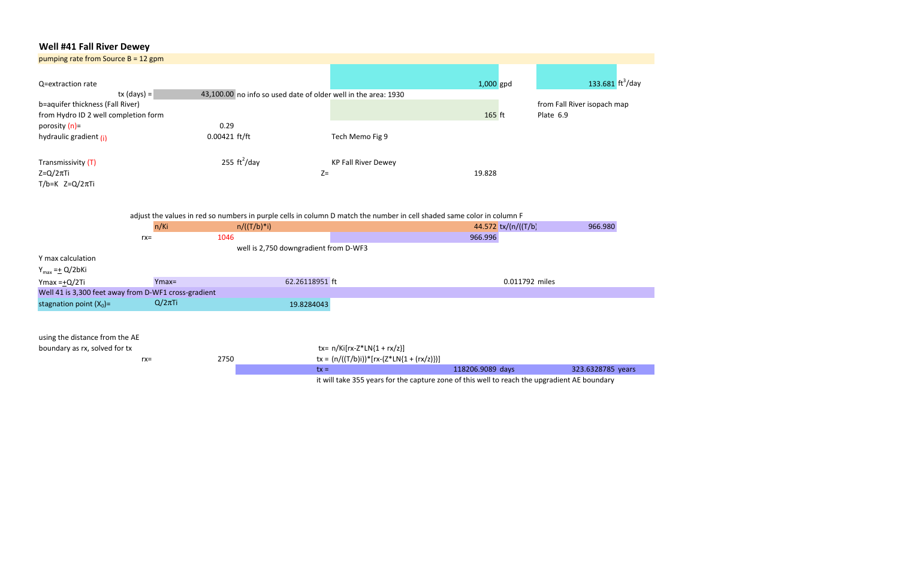# Well #41 Fall River Dewey

| pumping rate from Source $B = 12$ gpm                |                |                                                                |                |                                                                                                                        |                                |                                          |
|------------------------------------------------------|----------------|----------------------------------------------------------------|----------------|------------------------------------------------------------------------------------------------------------------------|--------------------------------|------------------------------------------|
|                                                      |                |                                                                |                |                                                                                                                        |                                |                                          |
| Q=extraction rate                                    |                |                                                                |                |                                                                                                                        | $1,000$ gpd                    | 133.681 $\frac{\text{ft}^3}{\text{day}}$ |
|                                                      | $tx (days) =$  | 43,100.00 no info so used date of older well in the area: 1930 |                |                                                                                                                        |                                |                                          |
| b=aquifer thickness (Fall River)                     |                |                                                                |                |                                                                                                                        |                                | from Fall River isopach map              |
| from Hydro ID 2 well completion form                 |                |                                                                |                |                                                                                                                        | 165 ft                         | Plate 6.9                                |
| porosity $(n)$ =                                     |                | 0.29                                                           |                |                                                                                                                        |                                |                                          |
| hydraulic gradient (i)                               |                | $0.00421$ ft/ft                                                |                | Tech Memo Fig 9                                                                                                        |                                |                                          |
| Transmissivity (T)                                   |                | 255 $\text{ft}^2/\text{day}$                                   |                | <b>KP Fall River Dewey</b>                                                                                             |                                |                                          |
| $Z = Q/2\pi T i$                                     |                |                                                                | $Z=$           |                                                                                                                        | 19.828                         |                                          |
| $T/b=K$ Z=Q/2 $\pi$ Ti                               |                |                                                                |                |                                                                                                                        |                                |                                          |
|                                                      | n/Ki<br>$rx =$ | $n/((T/b)*i)$<br>1046                                          |                | adjust the values in red so numbers in purple cells in column D match the number in cell shaded same color in column F | 44.572 tx/(n/((T/b)<br>966.996 | 966.980                                  |
|                                                      |                | well is 2,750 downgradient from D-WF3                          |                |                                                                                                                        |                                |                                          |
| Y max calculation                                    |                |                                                                |                |                                                                                                                        |                                |                                          |
| $Y_{max} = \pm Q/2bKi$                               |                |                                                                |                |                                                                                                                        |                                |                                          |
| Ymax = $+Q/2$ Ti                                     | $Ymax=$        |                                                                | 62.26118951 ft |                                                                                                                        | 0.011792 miles                 |                                          |
| Well 41 is 3,300 feet away from D-WF1 cross-gradient |                |                                                                |                |                                                                                                                        |                                |                                          |
| stagnation point $(X_0)$ =                           | $Q/2\pi$ Ti    |                                                                | 19.8284043     |                                                                                                                        |                                |                                          |
|                                                      |                |                                                                |                |                                                                                                                        |                                |                                          |
| using the distance from the AE                       |                |                                                                |                |                                                                                                                        |                                |                                          |
| boundary as rx, solved for tx                        |                |                                                                |                | $tx = n/Ki[rx-Z*LN{1 + rx/z}]$                                                                                         |                                |                                          |
|                                                      | $rx =$         | 2750                                                           |                | $tx = (n/((T/b)i))^*[rx-(Z*LN{1 + (rx/z)})]$                                                                           |                                |                                          |
|                                                      |                |                                                                | $tx =$         |                                                                                                                        | 118206.9089 days               | 323.6328785 years                        |
|                                                      |                |                                                                |                | it will take 355 years for the capture zone of this well to reach the upgradient AE boundary                           |                                |                                          |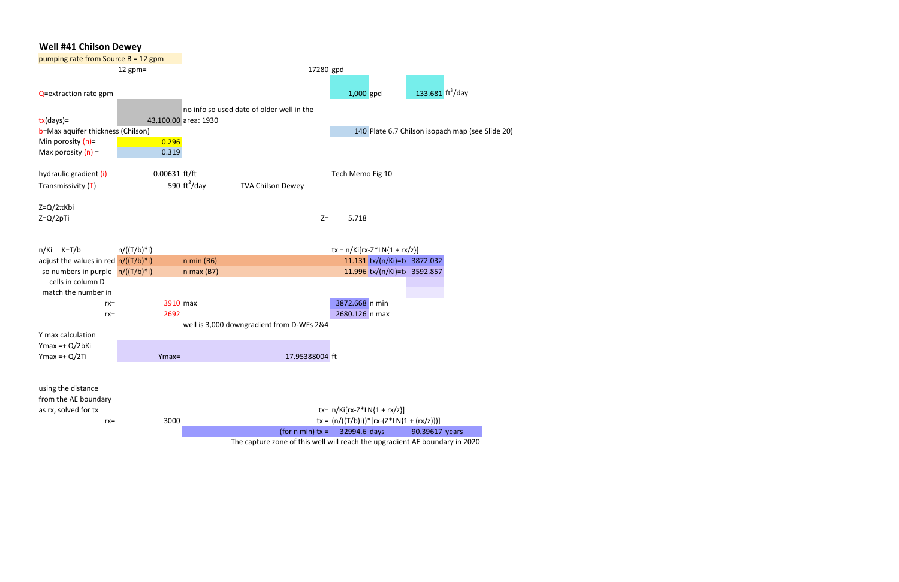# Well #41 Chilson Dewey pumping rate from Source B = 12 gpm 12 gpm= 17280 gpd  $Q=$ extraction rate gpm  $q=$  1,000 gpd  $\frac{1,000}{2}$  133.681 ft<sup>3</sup>/day no info so used date of older well in the tx(days)= 43,100.00 area: 1930 b=Max aquifer thickness (Chilson) Min porosity  $(n)$ =  $\sqrt{0.296}$ Max porosity  $(n) =$  0.319 140 Plate 6.7 Chilson isopach map (see Slide 20) hydraulic gradient (i) Transmissivity (T) 0.00631 ft/ft 590  $\text{ft}^2/\text{day}$ TVA Chilson Dewey Tech Memo Fig 10 Z=Q/2πKbi Z=Q/2pTi Z= 5.718 n/Ki K=T/b  $n/((T/b)*i)$  tx = n/Ki[rx-Z\*LN{1 + rx/z}] adjust the values in red  $n/((T/b)*i)$ so numbers in purple  $n/((T/b)*i)$ n min (B6) 11.131 tx/(n/Ki)=tx 3872.032 n max (B7) 11.996 tx/(n/Ki)=tx 3592.857 cells in column D match the number in rx= 3910 max 3872.668 n min rx= 2692 2692 2680.126 n max 2680.126 n max 2680.126 n max 2680.126 n max 2680.126 n max 2680.126 n max 2690.126 n max 2690.126 n max 2690.126 n max 2690.126 n max 2690.126 n max 2690.126 n max 2690.126 n max 2690.126 n ma well is 3,000 downgradient from D-WFs 2&4 Y max calculation Ymax =+ Q/2bKi Ymax =+ Q/2Ti Ymax= 17.95388004 ft using the distance from the AE boundary as rx, solved for tx  $\text{tr} = n/Ki[rx-Z^*LN{1 + rx/z}]$ rx= 3000 3000 tx =  $(n/((T/b)i))^*[rx-(Z*LN{1 + (rx/z)})]$ (for n min)  $tx = 32994.6 \text{ days}$  90.39617 years

The capture zone of this well will reach the upgradient AE boundary in 2020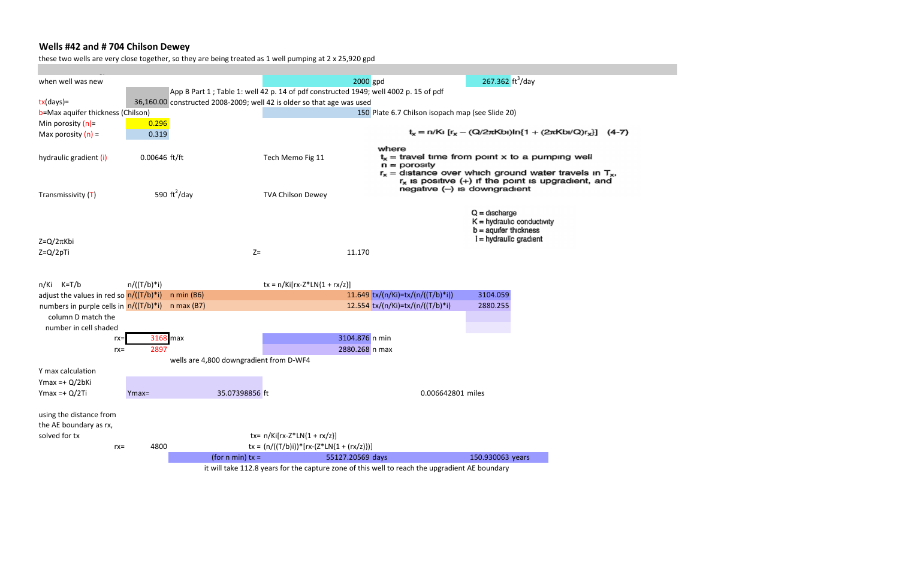# Wells #42 and # 704 Chilson Dewey

these two wells are very close together, so they are being treated as 1 well pumping at 2 x 25,920 gpd

| when well was new                         |                 |                                                                                      |                                                                                                | 2000 gpd                          |                                                  | 267.362 $ft^3$ /day                                      |                                                                |  |
|-------------------------------------------|-----------------|--------------------------------------------------------------------------------------|------------------------------------------------------------------------------------------------|-----------------------------------|--------------------------------------------------|----------------------------------------------------------|----------------------------------------------------------------|--|
|                                           |                 | App B Part 1; Table 1: well 42 p. 14 of pdf constructed 1949; well 4002 p. 15 of pdf |                                                                                                |                                   |                                                  |                                                          |                                                                |  |
| $tx/day$ )=                               |                 | 36,160.00 constructed 2008-2009; well 42 is older so that age was used               |                                                                                                |                                   |                                                  |                                                          |                                                                |  |
| b=Max aquifer thickness (Chilson)         |                 |                                                                                      |                                                                                                |                                   | 150 Plate 6.7 Chilson isopach map (see Slide 20) |                                                          |                                                                |  |
| Min porosity $(n)$ =                      | 0.296           |                                                                                      |                                                                                                |                                   |                                                  |                                                          |                                                                |  |
| Max porosity $(n)$ =                      | 0.319           |                                                                                      |                                                                                                |                                   |                                                  |                                                          | $t_x = n/Ki [r_x - (Q/2\pi Kbi)ln{1 + (2\pi Kbi/Q)r_x}]$ (4-7) |  |
|                                           |                 |                                                                                      |                                                                                                | where                             |                                                  |                                                          |                                                                |  |
| hydraulic gradient (i)                    | $0.00646$ ft/ft |                                                                                      | Tech Memo Fig 11                                                                               |                                   |                                                  |                                                          | $t_x$ = travel time from point x to a pumping well             |  |
|                                           |                 |                                                                                      |                                                                                                |                                   | $n =$ porosity                                   |                                                          |                                                                |  |
|                                           |                 |                                                                                      |                                                                                                |                                   |                                                  |                                                          | $r_x$ = distance over which ground water travels in $T_x$ ,    |  |
|                                           |                 |                                                                                      |                                                                                                |                                   | negative (-) is downgradient                     |                                                          | $r_x$ is positive $(+)$ if the point is upgradient, and        |  |
| Transmissivity $(T)$                      |                 | 590 $\text{ft}^2/\text{day}$                                                         | <b>TVA Chilson Dewey</b>                                                                       |                                   |                                                  |                                                          |                                                                |  |
|                                           |                 |                                                                                      |                                                                                                |                                   |                                                  |                                                          |                                                                |  |
|                                           |                 |                                                                                      |                                                                                                |                                   |                                                  | $Q =$ discharge                                          |                                                                |  |
|                                           |                 |                                                                                      |                                                                                                |                                   |                                                  | $K =$ hydraulic conductivity<br>$b = a$ quifer thickness |                                                                |  |
| $Z = Q/2\pi K$ bi                         |                 |                                                                                      |                                                                                                |                                   |                                                  | $i = h$ ydraulic gradient                                |                                                                |  |
|                                           |                 |                                                                                      |                                                                                                |                                   |                                                  |                                                          |                                                                |  |
| $Z = Q/2pTi$                              |                 | $Z=$                                                                                 |                                                                                                | 11.170                            |                                                  |                                                          |                                                                |  |
|                                           |                 |                                                                                      |                                                                                                |                                   |                                                  |                                                          |                                                                |  |
|                                           |                 |                                                                                      |                                                                                                |                                   |                                                  |                                                          |                                                                |  |
| $n/Ki$ K=T/b                              | $n/((T/b)*i)$   |                                                                                      | $tx = n/Ki[rx-Z*LN{1 + rx/z}]$                                                                 |                                   |                                                  |                                                          |                                                                |  |
| adjust the values in red so $n/((T/b)*i)$ |                 | $n \min (B6)$                                                                        |                                                                                                | 11.649 tx/(n/Ki)=tx/(n/((T/b)*i)) |                                                  | 3104.059                                                 |                                                                |  |
| numbers in purple cells in $n/((T/b)*i)$  |                 | $n$ max (B7)                                                                         |                                                                                                | 12.554 tx/(n/Ki)=tx/(n/((T/b)*i)  |                                                  | 2880.255                                                 |                                                                |  |
| column D match the                        |                 |                                                                                      |                                                                                                |                                   |                                                  |                                                          |                                                                |  |
| number in cell shaded                     |                 |                                                                                      |                                                                                                |                                   |                                                  |                                                          |                                                                |  |
| $rx =$                                    | 3168 max        |                                                                                      |                                                                                                | 3104.876 n min                    |                                                  |                                                          |                                                                |  |
| $rx =$                                    | 2897            |                                                                                      |                                                                                                | 2880.268 n max                    |                                                  |                                                          |                                                                |  |
|                                           |                 | wells are 4,800 downgradient from D-WF4                                              |                                                                                                |                                   |                                                  |                                                          |                                                                |  |
| Y max calculation                         |                 |                                                                                      |                                                                                                |                                   |                                                  |                                                          |                                                                |  |
| $Y$ max =+ $Q/2bKi$                       |                 |                                                                                      |                                                                                                |                                   |                                                  |                                                          |                                                                |  |
| $Ymax = + Q/2Ti$                          | $Ymax=$         | 35.07398856 ft                                                                       |                                                                                                |                                   | 0.006642801 miles                                |                                                          |                                                                |  |
|                                           |                 |                                                                                      |                                                                                                |                                   |                                                  |                                                          |                                                                |  |
| using the distance from                   |                 |                                                                                      |                                                                                                |                                   |                                                  |                                                          |                                                                |  |
| the AE boundary as rx,                    |                 |                                                                                      |                                                                                                |                                   |                                                  |                                                          |                                                                |  |
| solved for tx                             |                 |                                                                                      | tx= $n/Ki[rx-Z*LN{1 + rx/z}]$                                                                  |                                   |                                                  |                                                          |                                                                |  |
| $rx =$                                    | 4800            |                                                                                      | $tx = (n/((T/b)i))^*[rx-(Z*LN{1 + (rx/z)})]$                                                   |                                   |                                                  |                                                          |                                                                |  |
|                                           |                 | (for $n \min$ ) tx =                                                                 |                                                                                                | 55127.20569 days                  |                                                  | 150.930063 years                                         |                                                                |  |
|                                           |                 |                                                                                      | it will take 112.8 years for the capture zone of this well to reach the upgradient AE boundary |                                   |                                                  |                                                          |                                                                |  |
|                                           |                 |                                                                                      |                                                                                                |                                   |                                                  |                                                          |                                                                |  |